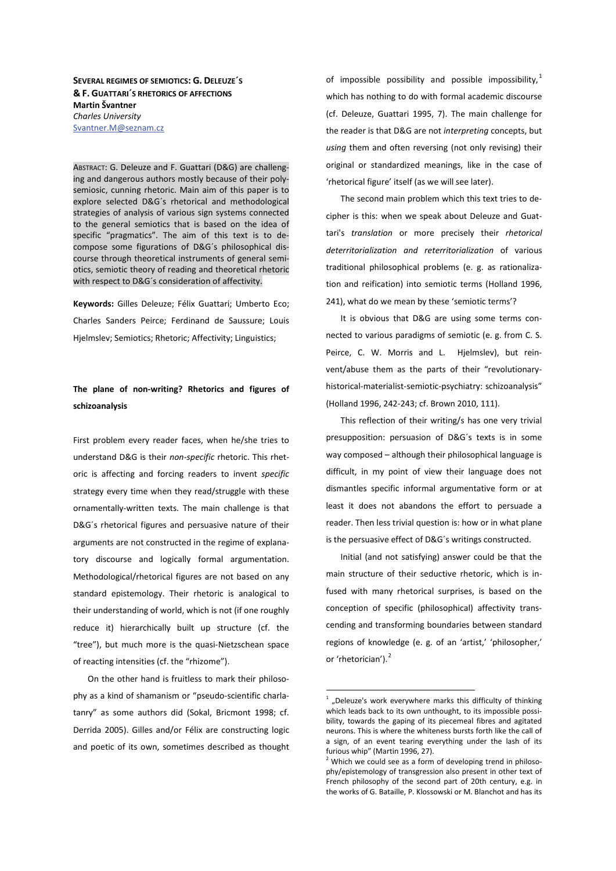**SEVERAL REGIMES OF SEMIOTICS: '͘ DELEUZE´S & &͘ GUATTARI´S RHETORICS OF AFFECTIONS Martin Švantner** *Charles University*  Svantner.M@seznam.cz

ABSTRACT: G. Deleuze and F. Guattari (D&G) are challenging and dangerous authors mostly because of their polysemiosic, cunning rhetoric. Main aim of this paper is to explore selected D&G´s rhetorical and methodological strategies of analysis of various sign systems connected to the general semiotics that is based on the idea of specific "pragmatics". The aim of this text is to decompose some figurations of D&G´s philosophical discourse through theoretical instruments of general semiotics, semiotic theory of reading and theoretical rhetoric with respect to D&G´s consideration of affectivity.

Keywords: Gilles Deleuze; Félix Guattari; Umberto Eco; Charles Sanders Peirce; Ferdinand de Saussure; Louis Hjelmslev; Semiotics; Rhetoric; Affectivity; Linguistics;

# The plane of non-writing? Rhetorics and figures of schizoanalysis

First problem every reader faces, when he/she tries to understand D&G is their *non-specific* rhetoric. This rhetoric is affecting and forcing readers to invent *specific*  strategy every time when they read/struggle with these ornamentally-written texts. The main challenge is that D&G´s rhetorical figures and persuasive nature of their arguments are not constructed in the regime of explanatory discourse and logically formal argumentation. Methodological/rhetorical figures are not based on any standard epistemology. Their rhetoric is analogical to their understanding of world, which is not (if one roughly reduce it) hierarchically built up structure (cf. the "tree"), but much more is the quasi-Nietzschean space of reacting intensities (cf. the "rhizome").

On the other hand is fruitless to mark their philosophy as a kind of shamanism or "pseudo-scientific charlatanry" as some authors did (Sokal, Bricmont 1998; cf. Derrida 2005). Gilles and/or Félix are constructing logic and poetic of its own, sometimes described as thought

of impossible possibility and possible impossibility, $1$ which has nothing to do with formal academic discourse (cf. Deleuze, Guattari 1995, 7). The main challenge for the reader is that D&G are not *interpreting* concepts, but *using* them and often reversing (not only revising) their original or standardized meanings, like in the case of 'rhetorical figure' itself (as we will see later).

The second main problem which this text tries to decipher is this: when we speak about Deleuze and Guattari's *translation* or more precisely their *rhetorical deterritorialization and reterritorialization* of various traditional philosophical problems (e. g. as rationalization and reification) into semiotic terms (Holland 1996, 241), what do we mean by these 'semiotic terms'?

It is obvious that D&G are using some terms connected to various paradigms of semiotic (e. g. from C. S. Peirce, C. W. Morris and L. Hjelmslev), but reinvent/abuse them as the parts of their "revolutionaryhistorical-materialist-semiotic-psychiatry: schizoanalysis" (Holland 1996, 242-243; cf. Brown 2010, 111).

This reflection of their writing/s has one very trivial presupposition: persuasion of D&G´s texts is in some way composed – although their philosophical language is difficult, in my point of view their language does not dismantles specific informal argumentative form or at least it does not abandons the effort to persuade a reader. Then less trivial question is: how or in what plane is the persuasive effect of D&G´s writings constructed.

Initial (and not satisfying) answer could be that the main structure of their seductive rhetoric, which is infused with many rhetorical surprises, is based on the conception of specific (philosophical) affectivity transcending and transforming boundaries between standard regions of knowledge (e. g. of an 'artist,' 'philosopher,' or 'rhetorician').<sup>2</sup>

 $<sup>1</sup>$  "Deleuze's work everywhere marks this difficulty of thinking</sup> which leads back to its own unthought, to its impossible possibility, towards the gaping of its piecemeal fibres and agitated neurons. This is where the whiteness bursts forth like the call of a sign, of an event tearing everything under the lash of its furious whip" (Martin 1996, 27).

<sup>2</sup> Which we could see as a form of developing trend in philosophy/epistemology of transgression also present in other text of French philosophy of the second part of 20th century, e.g. in the works of G. Bataille, P. Klossowski or M. Blanchot and has its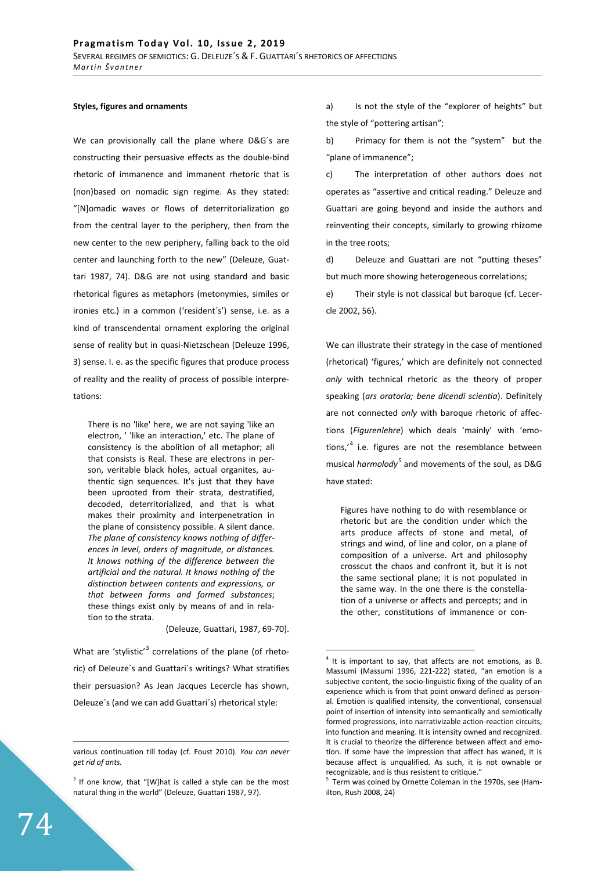## **Styles, figures and ornaments**

We can provisionally call the plane where D&G´s are constructing their persuasive effects as the double-bind rhetoric of immanence and immanent rhetoric that is (non)based on nomadic sign regime. As they stated: "[N]omadic waves or flows of deterritorialization go from the central layer to the periphery, then from the new center to the new periphery, falling back to the old center and launching forth to the new" (Deleuze, Guattari 1987, 74). D&G are not using standard and basic rhetorical figures as metaphors (metonymies, similes or ironies etc.) in a common ('resident´s') sense, i.e. as a kind of transcendental ornament exploring the original sense of reality but in quasi-Nietzschean (Deleuze 1996, 3) sense. I. e. as the specific figures that produce process of reality and the reality of process of possible interpretations:

There is no 'like' here, we are not saying 'like an electron, ' 'like an interaction,' etc. The plane of consistency is the abolition of all metaphor; all that consists is Real. These are electrons in person, veritable black holes, actual organites, authentic sign sequences. It's just that they have been uprooted from their strata, destratified, decoded, deterritorialized, and that is what makes their proximity and interpenetration in the plane of consistency possible. A silent dance. *The plane of consistency knows nothing of differences in level, orders of magnitude, or distances. It knows nothing of the difference between the artificial and the natural. It knows nothing of the distinction between contents and expressions, or that between forms and formed substances*; these things exist only by means of and in relation to the strata.

#### (Deleuze, Guattari, 1987, 69-70).

What are 'stylistic'<sup>3</sup> correlations of the plane (of rhetoric) of Deleuze´s and Guattari´s writings? What stratifies their persuasion? As Jean Jacques Lecercle has shown, Deleuze´s (and we can add Guattari´s) rhetorical style:

a) Is not the style of the "explorer of heights" but the style of "pottering artisan";

b) Primacy for them is not the "system" but the "plane of immanence";

c) The interpretation of other authors does not operates as "assertive and critical reading." Deleuze and Guattari are going beyond and inside the authors and reinventing their concepts, similarly to growing rhizome in the tree roots;

d) Deleuze and Guattari are not "putting theses" but much more showing heterogeneous correlations;

e) Their style is not classical but baroque (cf. Lecercle 2002, 56).

We can illustrate their strategy in the case of mentioned (rhetorical) 'figures,' which are definitely not connected *only* with technical rhetoric as the theory of proper speaking (*ars oratoria; bene dicendi scientia*). Definitely are not connected *only* with baroque rhetoric of affections (*Figurenlehre*) which deals 'mainly' with 'emotions,<sup>,4</sup> i.e. figures are not the resemblance between musical *harmolody*<sup>5</sup> and movements of the soul, as D&G have stated:

Figures have nothing to do with resemblance or rhetoric but are the condition under which the arts produce affects of stone and metal, of strings and wind, of line and color, on a plane of composition of a universe. Art and philosophy crosscut the chaos and confront it, but it is not the same sectional plane; it is not populated in the same way. In the one there is the constellation of a universe or affects and percepts; and in the other, constitutions of immanence or con-

various continuation till today (cf. Foust 2010). *You can never get rid of ants.* 

 $3$  If one know, that "[W]hat is called a style can be the most natural thing in the world" (Deleuze, Guattari 1987, 97).

 $4$  It is important to say, that affects are not emotions, as B. Massumi (Massumi 1996, 221-222) stated, "an emotion is a subjective content, the socio-linguistic fixing of the quality of an experience which is from that point onward defined as personal. Emotion is qualified intensity, the conventional, consensual point of insertion of intensity into semantically and semiotically formed progressions, into narrativizable action-reaction circuits, into function and meaning. It is intensity owned and recognized. It is crucial to theorize the difference between affect and emotion. If some have the impression that affect has waned, it is because affect is unqualified. As such, it is not ownable or recognizable, and is thus resistent to critique."

<sup>&</sup>lt;sup>5</sup> Term was coined by Ornette Coleman in the 1970s, see (Hamilton, Rush 2008, 24)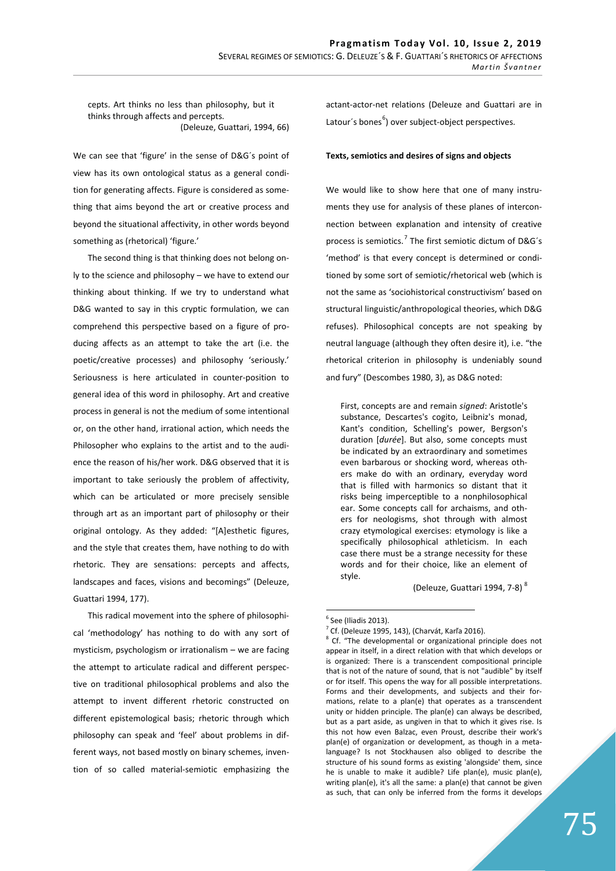cepts. Art thinks no less than philosophy, but it thinks through affects and percepts. (Deleuze, Guattari, 1994, 66)

We can see that 'figure' in the sense of D&G´s point of view has its own ontological status as a general condition for generating affects. Figure is considered as something that aims beyond the art or creative process and beyond the situational affectivity, in other words beyond something as (rhetorical) 'figure.'

The second thing is that thinking does not belong only to the science and philosophy – we have to extend our thinking about thinking. If we try to understand what D&G wanted to say in this cryptic formulation, we can comprehend this perspective based on a figure of producing affects as an attempt to take the art (i.e. the poetic/creative processes) and philosophy 'seriously.' Seriousness is here articulated in counter-position to general idea of this word in philosophy. Art and creative process in general is not the medium of some intentional or, on the other hand, irrational action, which needs the Philosopher who explains to the artist and to the audience the reason of his/her work. D&G observed that it is important to take seriously the problem of affectivity, which can be articulated or more precisely sensible through art as an important part of philosophy or their original ontology. As they added: "[A]esthetic figures, and the style that creates them, have nothing to do with rhetoric. They are sensations: percepts and affects, landscapes and faces, visions and becomings" (Deleuze, Guattari 1994, 177).

This radical movement into the sphere of philosophical 'methodology' has nothing to do with any sort of mysticism, psychologism or irrationalism – we are facing the attempt to articulate radical and different perspective on traditional philosophical problems and also the attempt to invent different rhetoric constructed on different epistemological basis; rhetoric through which philosophy can speak and 'feel' about problems in different ways, not based mostly on binary schemes, invention of so called material-semiotic emphasizing the

actant-actor-net relations (Deleuze and Guattari are in Latour's bones<sup>6</sup>) over subject-object perspectives.

#### Texts, semiotics and desires of signs and objects

We would like to show here that one of many instruments they use for analysis of these planes of interconnection between explanation and intensity of creative process is semiotics.<sup>7</sup> The first semiotic dictum of D&G's 'method' is that every concept is determined or conditioned by some sort of semiotic/rhetorical web (which is not the same as 'sociohistorical constructivism' based on structural linguistic/anthropological theories, which D&G refuses). Philosophical concepts are not speaking by neutral language (although they often desire it), i.e. "the rhetorical criterion in philosophy is undeniably sound and fury" (Descombes 1980, 3), as D&G noted:

First, concepts are and remain *signed*: Aristotle's substance, Descartes's cogito, Leibniz's monad, Kant's condition, Schelling's power, Bergson's duration [*durée*]. But also, some concepts must be indicated by an extraordinary and sometimes even barbarous or shocking word, whereas others make do with an ordinary, everyday word that is filled with harmonics so distant that it risks being imperceptible to a nonphilosophical ear. Some concepts call for archaisms, and others for neologisms, shot through with almost crazy etymological exercises: etymology is like a specifically philosophical athleticism. In each case there must be a strange necessity for these words and for their choice, like an element of style.

(Deleuze, Guattari 1994, 7-8) 8

 $<sup>6</sup>$  See (Iliadis 2013).</sup>

 $\frac{7}{7}$ Cf. (Deleuze 1995, 143), (Charvát, Karľa 2016).

<sup>&</sup>lt;sup>8</sup> Cf. "The developmental or organizational principle does not appear in itself, in a direct relation with that which develops or is organized: There is a transcendent compositional principle that is not of the nature of sound, that is not "audible" by itself or for itself. This opens the way for all possible interpretations. Forms and their developments, and subjects and their formations, relate to a plan(e) that operates as a transcendent unity or hidden principle. The plan(e) can always be described, but as a part aside, as ungiven in that to which it gives rise. Is this not how even Balzac, even Proust, describe their work's plan(e) of organization or development, as though in a metalanguage? Is not Stockhausen also obliged to describe the structure of his sound forms as existing 'alongside' them, since he is unable to make it audible? Life plan(e), music plan(e), writing plan(e), it's all the same: a plan(e) that cannot be given as such, that can only be inferred from the forms it develops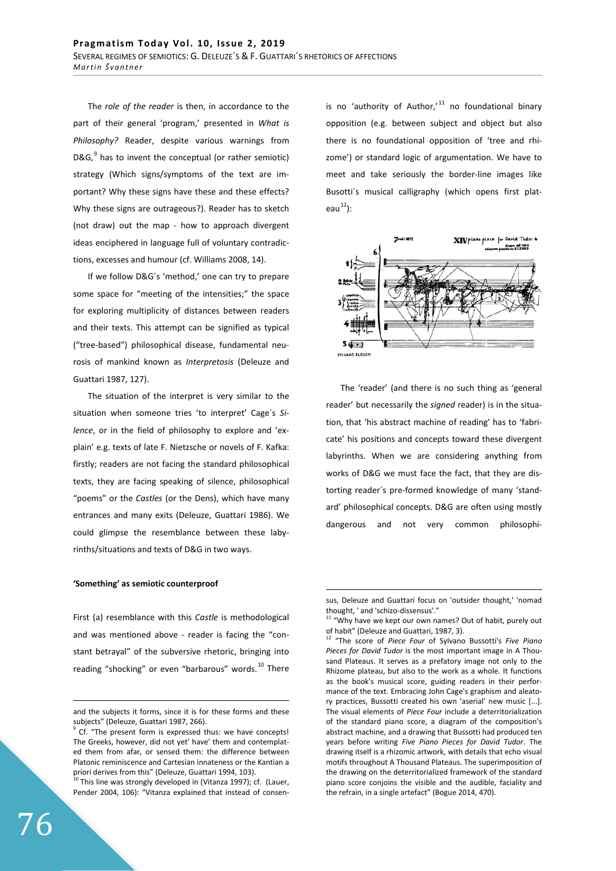The *role of the reader* is then, in accordance to the part of their general 'program,' presented in *What is Philosophy?* Reader, despite various warnings from D&G, $^9$  has to invent the conceptual (or rather semiotic) strategy (Which signs/symptoms of the text are important? Why these signs have these and these effects? Why these signs are outrageous?). Reader has to sketch (not draw) out the map - how to approach divergent ideas enciphered in language full of voluntary contradictions, excesses and humour (cf. Williams 2008, 14).

If we follow D&G´s 'method,' one can try to prepare some space for "meeting of the intensities;" the space for exploring multiplicity of distances between readers and their texts. This attempt can be signified as typical ("tree-based") philosophical disease, fundamental neurosis of mankind known as *Interpretosis* (Deleuze and Guattari 1987, 127).

The situation of the interpret is very similar to the situation when someone tries 'to interpret' Cage´s *Silence*, or in the field of philosophy to explore and 'explain' e.g. texts of late F. Nietzsche or novels of F. Kafka: firstly; readers are not facing the standard philosophical texts, they are facing speaking of silence, philosophical "poems" or the *Castles* (or the Dens), which have many entrances and many exits (Deleuze, Guattari 1986). We could glimpse the resemblance between these labyrinths/situations and texts of D&G in two ways.

## 'Something' as semiotic counterproof

First (a) resemblance with this *Castle* is methodological and was mentioned above - reader is facing the "constant betrayal" of the subversive rhetoric, bringing into reading "shocking" or even "barbarous" words.<sup>10</sup> There

<sup>10</sup> This line was strongly developed in (Vitanza 1997); cf. (Lauer, Pender 2004, 106): "Vitanza explained that instead of consenis no 'authority of Author, $i<sup>11</sup>$  no foundational binary opposition (e.g. between subject and object but also there is no foundational opposition of 'tree and rhizome') or standard logic of argumentation. We have to meet and take seriously the border-line images like Busotti´s musical calligraphy (which opens first plateau $^{12}$ ):



The 'reader' (and there is no such thing as 'general reader' but necessarily the *signed* reader) is in the situation, that 'his abstract machine of reading' has to 'fabricate' his positions and concepts toward these divergent labyrinths. When we are considering anything from works of D&G we must face the fact, that they are distorting reader´s pre-formed knowledge of many 'standard' philosophical concepts. D&G are often using mostly dangerous and not very common philosophi-

and the subjects it forms, since it is for these forms and these subjects" (Deleuze, Guattari 1987, 266).

<sup>&</sup>lt;sup>9</sup> Cf. "The present form is expressed thus: we have concepts! The Greeks, however, did not yet' have' them and contemplated them from afar, or sensed them: the difference between Platonic reminiscence and Cartesian innateness or the Kantian a priori derives from this" (Deleuze, Guattari 1994, 103).

sus, Deleuze and Guattari focus on 'outsider thought,' 'nomad thought, ' and 'schizo-dissensus'."

<sup>11 &</sup>quot;Why have we kept our own names? Out of habit, purely out of habit" (Deleuze and Guattari, 1987, 3).

<sup>12 &</sup>quot;The score of *Piece Four* of Sylvano Bussotti's *Five Piano Pieces for David Tudor* is the most important image in A Thousand Plateaus. It serves as a prefatory image not only to the Rhizome plateau, but also to the work as a whole. It functions as the book's musical score, guiding readers in their performance of the text. Embracing John Cage's graphism and aleatory practices, Bussotti created his own 'aserial' new music [...]. The visual elements of *Piece Four* include a deterritorialization of the standard piano score, a diagram of the composition's abstract machine, and a drawing that Bussotti had produced ten years before writing *Five Piano Pieces for David Tudor*. The drawing itself is a rhizomic artwork, with details that echo visual motifs throughout A Thousand Plateaus. The superimposition of the drawing on the deterritorialized framework of the standard piano score conjoins the visible and the audible, faciality and the refrain, in a single artefact" (Bogue 2014, 470).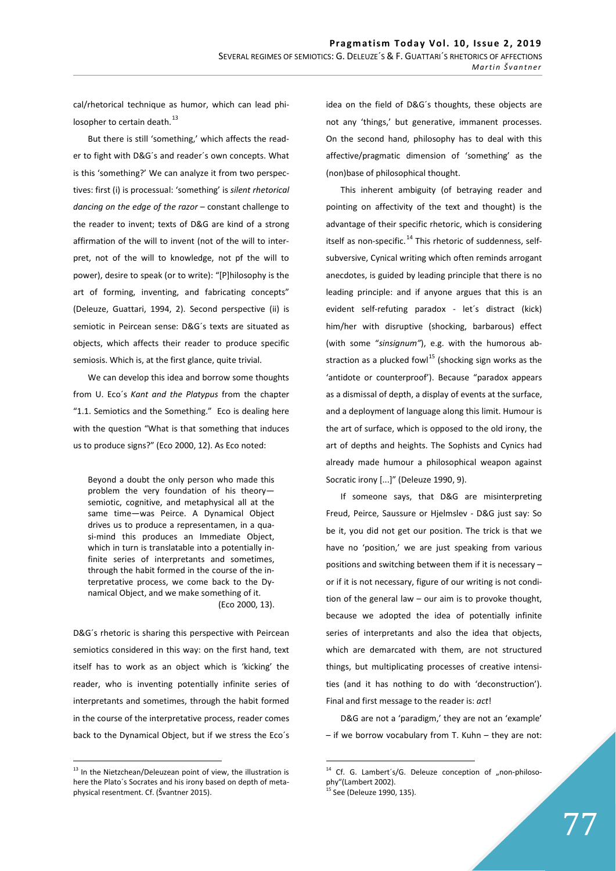cal/rhetorical technique as humor, which can lead philosopher to certain death.<sup>13</sup>

But there is still 'something,' which affects the reader to fight with D&G´s and reader´s own concepts. What is this 'something?' We can analyze it from two perspectives: first (i) is processual: 'something' is *silent rhetorical dancing on the edge of the razor* – constant challenge to the reader to invent; texts of D&G are kind of a strong affirmation of the will to invent (not of the will to interpret, not of the will to knowledge, not pf the will to power), desire to speak (or to write): "[P]hilosophy is the art of forming, inventing, and fabricating concepts" (Deleuze, Guattari, 1994, 2). Second perspective (ii) is semiotic in Peircean sense: D&G´s texts are situated as objects, which affects their reader to produce specific semiosis. Which is, at the first glance, quite trivial.

We can develop this idea and borrow some thoughts from U. Eco´s *Kant and the Platypus* from the chapter "1.1. Semiotics and the Something." Eco is dealing here with the question "What is that something that induces us to produce signs?" (Eco 2000, 12). As Eco noted:

Beyond a doubt the only person who made this problem the very foundation of his theory semiotic, cognitive, and metaphysical all at the same time—was Peirce. A Dynamical Object drives us to produce a representamen, in a quasi-mind this produces an Immediate Object, which in turn is translatable into a potentially infinite series of interpretants and sometimes, through the habit formed in the course of the interpretative process, we come back to the Dynamical Object, and we make something of it. (Eco 2000, 13).

D&G´s rhetoric is sharing this perspective with Peircean semiotics considered in this way: on the first hand, text itself has to work as an object which is 'kicking' the reader, who is inventing potentially infinite series of interpretants and sometimes, through the habit formed in the course of the interpretative process, reader comes back to the Dynamical Object, but if we stress the Eco´s

<sup>13</sup> In the Nietzchean/Deleuzean point of view, the illustration is here the Plato´s Socrates and his irony based on depth of metaphysical resentment. Cf. (Švantner 2015).

idea on the field of D&G´s thoughts, these objects are not any 'things,' but generative, immanent processes. On the second hand, philosophy has to deal with this affective/pragmatic dimension of 'something' as the (non)base of philosophical thought.

This inherent ambiguity (of betraying reader and pointing on affectivity of the text and thought) is the advantage of their specific rhetoric, which is considering itself as non-specific. $^{14}$  This rhetoric of suddenness, selfsubversive, Cynical writing which often reminds arrogant anecdotes, is guided by leading principle that there is no leading principle: and if anyone argues that this is an evident self-refuting paradox - let´s distract (kick) him/her with disruptive (shocking, barbarous) effect (with some "*sinsignum"*), e.g. with the humorous abstraction as a plucked fowl $15$  (shocking sign works as the 'antidote or counterproof'). Because "paradox appears as a dismissal of depth, a display of events at the surface, and a deployment of language along this limit. Humour is the art of surface, which is opposed to the old irony, the art of depths and heights. The Sophists and Cynics had already made humour a philosophical weapon against Socratic irony [...]" (Deleuze 1990, 9).

If someone says, that D&G are misinterpreting Freud, Peirce, Saussure or Hjelmslev - D&G just say: So be it, you did not get our position. The trick is that we have no 'position,' we are just speaking from various positions and switching between them if it is necessary – or if it is not necessary, figure of our writing is not condition of the general law – our aim is to provoke thought, because we adopted the idea of potentially infinite series of interpretants and also the idea that objects, which are demarcated with them, are not structured things, but multiplicating processes of creative intensities (and it has nothing to do with 'deconstruction'). Final and first message to the reader is: *act*!

D&G are not a 'paradigm,' they are not an 'example' – if we borrow vocabulary from T. Kuhn – they are not:

 $14$  Cf. G. Lambert's/G. Deleuze conception of "non-philosophy"(Lambert 2002).

<sup>&</sup>lt;sup>15</sup> See (Deleuze 1990, 135).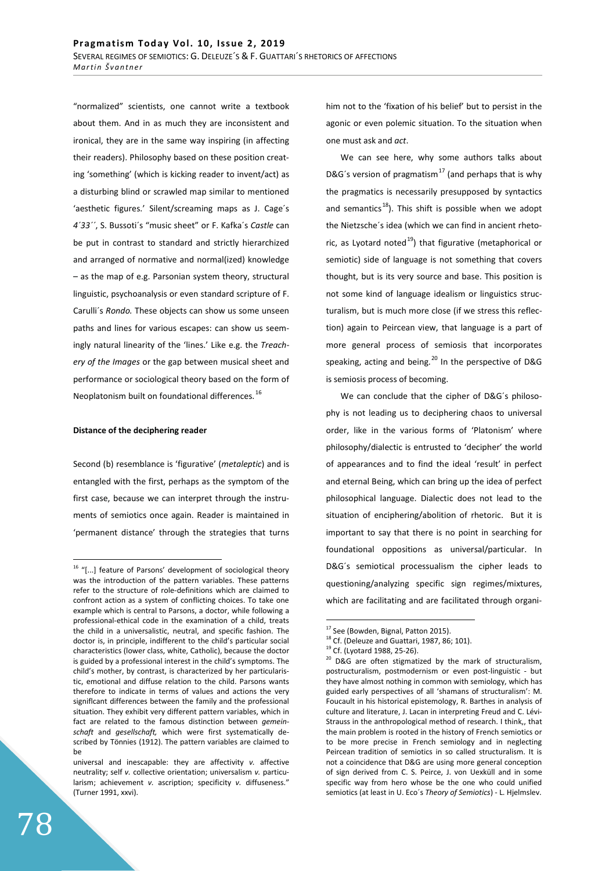"normalized" scientists, one cannot write a textbook about them. And in as much they are inconsistent and ironical, they are in the same way inspiring (in affecting their readers). Philosophy based on these position creating 'something' (which is kicking reader to invent/act) as a disturbing blind or scrawled map similar to mentioned 'aesthetic figures.' Silent/screaming maps as J. Cage´s *4´33´´*, S. Bussoti´s "music sheet" or F. Kafka´s *Castle* can be put in contrast to standard and strictly hierarchized and arranged of normative and normal(ized) knowledge – as the map of e.g. Parsonian system theory, structural linguistic, psychoanalysis or even standard scripture of F. Carulli´s *Rondo.* These objects can show us some unseen paths and lines for various escapes: can show us seemingly natural linearity of the 'lines.' Like e.g. the *Treachery of the Images* or the gap between musical sheet and performance or sociological theory based on the form of Neoplatonism built on foundational differences. <sup>16</sup>

#### **Distance of the deciphering reader**

Second (b) resemblance is 'figurative' (*metaleptic*) and is entangled with the first, perhaps as the symptom of the first case, because we can interpret through the instruments of semiotics once again. Reader is maintained in 'permanent distance' through the strategies that turns him not to the 'fixation of his belief' but to persist in the agonic or even polemic situation. To the situation when one must ask and *act*.

We can see here, why some authors talks about D&G´s version of pragmatism<sup>17</sup> (and perhaps that is why the pragmatics is necessarily presupposed by syntactics and semantics<sup>18</sup>). This shift is possible when we adopt the Nietzsche´s idea (which we can find in ancient rhetoric, as Lyotard noted<sup>19</sup>) that figurative (metaphorical or semiotic) side of language is not something that covers thought, but is its very source and base. This position is not some kind of language idealism or linguistics structuralism, but is much more close (if we stress this reflection) again to Peircean view, that language is a part of more general process of semiosis that incorporates speaking, acting and being.<sup>20</sup> In the perspective of D&G is semiosis process of becoming.

We can conclude that the cipher of D&G´s philosophy is not leading us to deciphering chaos to universal order, like in the various forms of 'Platonism' where philosophy/dialectic is entrusted to 'decipher' the world of appearances and to find the ideal 'result' in perfect and eternal Being, which can bring up the idea of perfect philosophical language. Dialectic does not lead to the situation of enciphering/abolition of rhetoric. But it is important to say that there is no point in searching for foundational oppositions as universal/particular. In D&G´s semiotical processualism the cipher leads to questioning/analyzing specific sign regimes/mixtures, which are facilitating and are facilitated through organi-

<sup>&</sup>lt;sup>16</sup> "[...] feature of Parsons' development of sociological theory was the introduction of the pattern variables. These patterns refer to the structure of role-definitions which are claimed to confront action as a system of conflicting choices. To take one example which is central to Parsons, a doctor, while following a professional-ethical code in the examination of a child, treats the child in a universalistic, neutral, and specific fashion. The doctor is, in principle, indifferent to the child's particular social characteristics (lower class, white, Catholic), because the doctor is guided by a professional interest in the child's symptoms. The child's mother, by contrast, is characterized by her particularistic, emotional and diffuse relation to the child. Parsons wants therefore to indicate in terms of values and actions the very signiflcant differences between the family and the professional situation. They exhibit very different pattern variables, which in fact are related to the famous distinction between *gemeinschaft* and *gesellschaft,* which were first systematically described by Tönnies (1912). The pattern variables are claimed to be

universal and inescapable: they are affectivity *v.* affective neutrality; self *v.* collective orientation; universalism *v.* particularism; achievement *v.* ascription; specificity *v.* diffuseness." (Turner 1991, xxvi).

 $17$  See (Bowden, Bignal, Patton 2015).

 $18$  Cf. (Deleuze and Guattari, 1987, 86; 101).

<sup>&</sup>lt;sup>19</sup> Cf. (Lyotard 1988, 25-26).

 $20$  D&G are often stigmatized by the mark of structuralism, postructuralism, postmodernism or even post-linguistic - but they have almost nothing in common with semiology, which has guided early perspectives of all 'shamans of structuralism': M. Foucault in his historical epistemology, R. Barthes in analysis of culture and literature, J. Lacan in interpreting Freud and C. Lévi-Strauss in the anthropological method of research. I think,, that the main problem is rooted in the history of French semiotics or to be more precise in French semiology and in neglecting Peircean tradition of semiotics in so called structuralism. It is not a coincidence that D&G are using more general conception of sign derived from C. S. Peirce, J. von Uexküll and in some specific way from hero whose be the one who could unified semiotics (at least in U. Eco´s *Theory of Semiotics*) - L. Hjelmslev.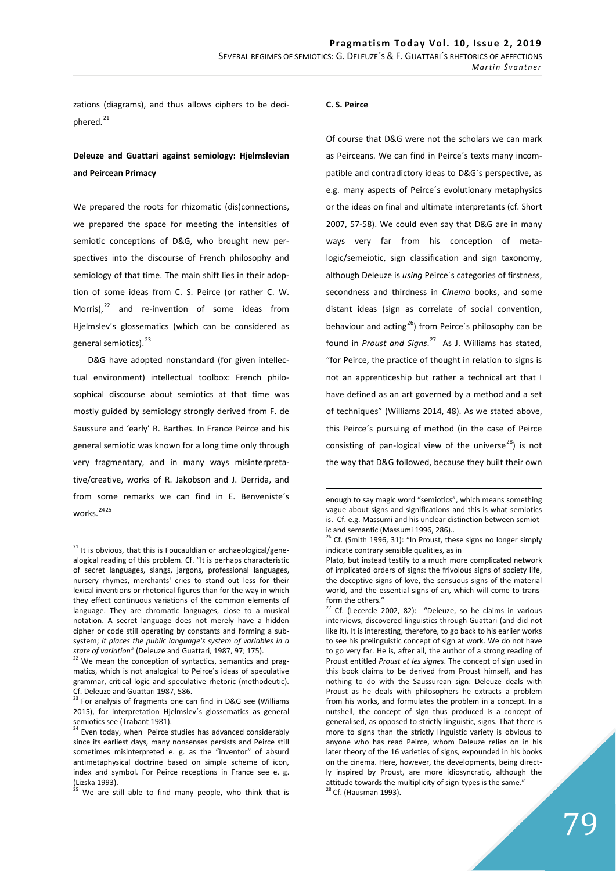zations (diagrams), and thus allows ciphers to be deciphered.<sup>21</sup>

# **Deleuze and Guattari against semiology: Hielmslevian** and Peircean Primacy

We prepared the roots for rhizomatic (dis)connections, we prepared the space for meeting the intensities of semiotic conceptions of D&G, who brought new perspectives into the discourse of French philosophy and semiology of that time. The main shift lies in their adoption of some ideas from C. S. Peirce (or rather C. W. Morris), $^{22}$  and re-invention of some ideas from Hjelmslev´s glossematics (which can be considered as general semiotics).<sup>23</sup>

D&G have adopted nonstandard (for given intellectual environment) intellectual toolbox: French philosophical discourse about semiotics at that time was mostly guided by semiology strongly derived from F. de Saussure and 'early' R. Barthes. In France Peirce and his general semiotic was known for a long time only through very fragmentary, and in many ways misinterpretative/creative, works of R. Jakobson and J. Derrida, and from some remarks we can find in E. Benveniste´s works.<sup>2425</sup>

#### C. S. Peirce

Of course that D&G were not the scholars we can mark as Peirceans. We can find in Peirce´s texts many incompatible and contradictory ideas to D&G´s perspective, as e.g. many aspects of Peirce´s evolutionary metaphysics or the ideas on final and ultimate interpretants (cf. Short 2007, 57-58). We could even say that D&G are in many ways very far from his conception of metalogic/semeiotic, sign classification and sign taxonomy, although Deleuze is *using* Peirce´s categories of firstness, secondness and thirdness in *Cinema* books, and some distant ideas (sign as correlate of social convention, behaviour and acting<sup>26</sup>) from Peirce's philosophy can be found in *Proust and Signs*. 27 As J. Williams has stated, "for Peirce, the practice of thought in relation to signs is not an apprenticeship but rather a technical art that I have defined as an art governed by a method and a set of techniques" (Williams 2014, 48). As we stated above, this Peirce´s pursuing of method (in the case of Peirce consisting of pan-logical view of the universe<sup>28</sup>) is not the way that D&G followed, because they built their own

 $21$  It is obvious, that this is Foucauldian or archaeological/genealogical reading of this problem. Cf. "It is perhaps characteristic of secret languages, slangs, jargons, professional languages, nursery rhymes, merchants' cries to stand out less for their lexical inventions or rhetorical figures than for the way in which they effect continuous variations of the common elements of language. They are chromatic languages, close to a musical notation. A secret language does not merely have a hidden cipher or code still operating by constants and forming a subsystem; *it places the public language's system of variables in a* 

*state of variation"* (Deleuze and Guattari, 1987, 97; 175).<br><sup>22</sup> We mean the conception of syntactics, semantics and pragmatics, which is not analogical to Peirce´s ideas of speculative grammar, critical logic and speculative rhetoric (methodeutic). Cf. Deleuze and Guattari 1987, 586.

<sup>&</sup>lt;sup>23</sup> For analysis of fragments one can find in D&G see (Williams 2015), for interpretation Hjelmslev´s glossematics as general semiotics see (Trabant 1981).

<sup>&</sup>lt;sup>24</sup> Even today, when Peirce studies has advanced considerably since its earliest days, many nonsenses persists and Peirce still sometimes misinterpreted e. g. as the "inventor" of absurd antimetaphysical doctrine based on simple scheme of icon, index and symbol. For Peirce receptions in France see e. g. (Lizska 1993).

 $25$  We are still able to find many people, who think that is

enough to say magic word "semiotics", which means something vague about signs and significations and this is what semiotics is. Cf. e.g. Massumi and his unclear distinction between semiotic and semantic (Massumi 1996, 286)..

 $26$  Cf. (Smith 1996, 31): "In Proust, these signs no longer simply indicate contrary sensible qualities, as in

Plato, but instead testify to a much more complicated network of implicated orders of signs: the frivolous signs of society life, the deceptive signs of love, the sensuous signs of the material world, and the essential signs of an, which will come to transform the others."

 $27$  Cf. (Lecercle 2002, 82): "Deleuze, so he claims in various interviews, discovered linguistics through Guattari (and did not like it). It is interesting, therefore, to go back to his earlier works to see his prelinguistic concept of sign at work. We do not have to go very far. He is, after all, the author of a strong reading of Proust entitled *Proust et les signes*. The concept of sign used in this book claims to be derived from Proust himself, and has nothing to do with the Saussurean sign: Deleuze deals with Proust as he deals with philosophers he extracts a problem from his works, and formulates the problem in a concept. In a nutshell, the concept of sign thus produced is a concept of generalised, as opposed to strictly linguistic, signs. That there is more to signs than the strictly linguistic variety is obvious to anyone who has read Peirce, whom Deleuze relies on in his later theory of the 16 varieties of signs, expounded in his books on the cinema. Here, however, the developments, being directly inspired by Proust, are more idiosyncratic, although the attitude towards the multiplicity of sign-types is the same."<br><sup>28</sup> Cf. (Hausman 1993).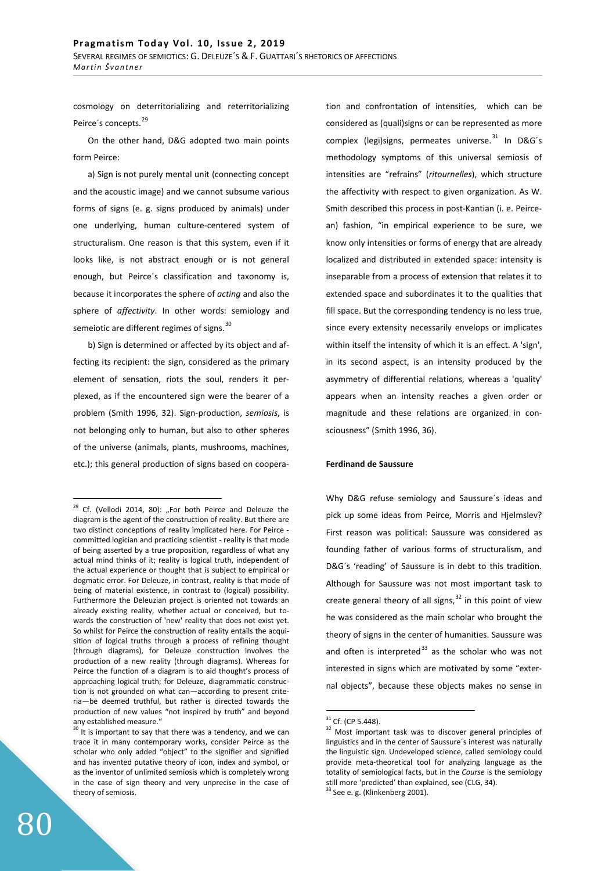cosmology on deterritorializing and reterritorializing Peirce's concepts.<sup>29</sup>

On the other hand, D&G adopted two main points form Peirce:

a) Sign is not purely mental unit (connecting concept and the acoustic image) and we cannot subsume various forms of signs (e. g. signs produced by animals) under one underlying, human culture-centered system of structuralism. One reason is that this system, even if it looks like, is not abstract enough or is not general enough, but Peirce´s classification and taxonomy is, because it incorporates the sphere of *acting* and also the sphere of *affectivity*. In other words: semiology and semeiotic are different regimes of signs.<sup>30</sup>

b) Sign is determined or affected by its object and affecting its recipient: the sign, considered as the primary element of sensation, riots the soul, renders it perplexed, as if the encountered sign were the bearer of a problem (Smith 1996, 32). Sign-production, *semiosis*, is not belonging only to human, but also to other spheres of the universe (animals, plants, mushrooms, machines, etc.); this general production of signs based on cooperation and confrontation of intensities, which can be considered as (quali)signs or can be represented as more complex (legi)signs, permeates universe.<sup>31</sup> In D&G's methodology symptoms of this universal semiosis of intensities are "refrains" (*ritournelles*), which structure the affectivity with respect to given organization. As W. Smith described this process in post-Kantian (i. e. Peircean) fashion, "in empirical experience to be sure, we know only intensities or forms of energy that are already localized and distributed in extended space: intensity is inseparable from a process of extension that relates it to extended space and subordinates it to the qualities that fill space. But the corresponding tendency is no less true, since every extensity necessarily envelops or implicates within itself the intensity of which it is an effect. A 'sign', in its second aspect, is an intensity produced by the asymmetry of differential relations, whereas a 'quality' appears when an intensity reaches a given order or magnitude and these relations are organized in consciousness" (Smith 1996, 36).

## **Ferdinand de Saussure**

Why D&G refuse semiology and Saussure´s ideas and pick up some ideas from Peirce, Morris and Hjelmslev? First reason was political: Saussure was considered as founding father of various forms of structuralism, and D&G´s 'reading' of Saussure is in debt to this tradition. Although for Saussure was not most important task to create general theory of all signs,  $32$  in this point of view he was considered as the main scholar who brought the theory of signs in the center of humanities. Saussure was and often is interpreted $^{33}$  as the scholar who was not interested in signs which are motivated by some "external objects", because these objects makes no sense in

 $29$  Cf. (Vellodi 2014, 80): "For both Peirce and Deleuze the diagram is the agent of the construction of reality. But there are two distinct conceptions of reality implicated here. For Peirce committed logician and practicing scientist - reality is that mode of being asserted by a true proposition, regardless of what any actual mind thinks of it; reality is logical truth, independent of the actual experience or thought that is subject to empirical or dogmatic error. For Deleuze, in contrast, reality is that mode of being of material existence, in contrast to (logical) possibility. Furthermore the Deleuzian project is oriented not towards an already existing reality, whether actual or conceived, but towards the construction of 'new' reality that does not exist yet. So whilst for Peirce the construction of reality entails the acquisition of logical truths through a process of refining thought (through diagrams), for Deleuze construction involves the production of a new reality (through diagrams). Whereas for Peirce the function of a diagram is to aid thought's process of approaching logical truth; for Deleuze, diagrammatic construction is not grounded on what can—according to present criteria—be deemed truthful, but rather is directed towards the production of new values "not inspired by truth" and beyond any established measure."

<sup>&</sup>lt;sup>30</sup> It is important to say that there was a tendency, and we can trace it in many contemporary works, consider Peirce as the scholar who only added "object" to the signifier and signified and has invented putative theory of icon, index and symbol, or as the inventor of unlimited semiosis which is completely wrong in the case of sign theory and very unprecise in the case of theory of semiosis.

 $31$  Cf. (CP 5.448).

<sup>&</sup>lt;sup>32</sup> Most important task was to discover general principles of linguistics and in the center of Saussure´s interest was naturally the linguistic sign. Undeveloped science, called semiology could provide meta-theoretical tool for analyzing language as the totality of semiological facts, but in the *Course* is the semiology still more 'predicted' than explained, see (CLG, 34).  $33$  See e. g. (Klinkenberg 2001).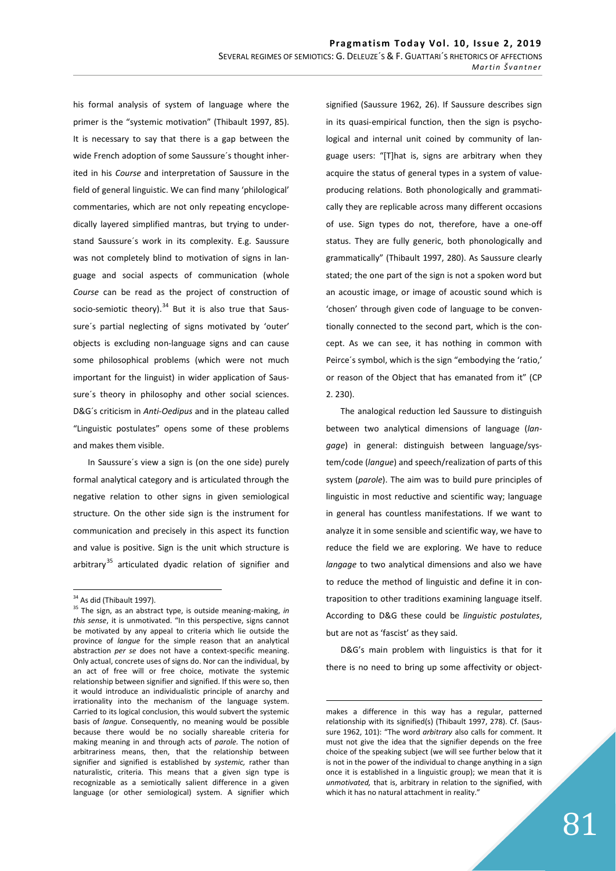his formal analysis of system of language where the primer is the "systemic motivation" (Thibault 1997, 85). It is necessary to say that there is a gap between the wide French adoption of some Saussure´s thought inherited in his *Course* and interpretation of Saussure in the field of general linguistic. We can find many 'philological' commentaries, which are not only repeating encyclopedically layered simplified mantras, but trying to understand Saussure´s work in its complexity. E.g. Saussure was not completely blind to motivation of signs in language and social aspects of communication (whole *Course* can be read as the project of construction of socio-semiotic theory). $34$  But it is also true that Saussure´s partial neglecting of signs motivated by 'outer' objects is excluding non-language signs and can cause some philosophical problems (which were not much important for the linguist) in wider application of Saussure´s theory in philosophy and other social sciences. D&G´s criticism in *Anti-Oedipus* and in the plateau called "Linguistic postulates" opens some of these problems and makes them visible.

In Saussure´s view a sign is (on the one side) purely formal analytical category and is articulated through the negative relation to other signs in given semiological structure. On the other side sign is the instrument for communication and precisely in this aspect its function and value is positive. Sign is the unit which structure is arbitrary<sup>35</sup> articulated dyadic relation of signifier and signified (Saussure 1962, 26). If Saussure describes sign in its quasi-empirical function, then the sign is psychological and internal unit coined by community of language users: "[T]hat is, signs are arbitrary when they acquire the status of general types in a system of valueproducing relations. Both phonologically and grammatically they are replicable across many different occasions of use. Sign types do not, therefore, have a one-off status. They are fully generic, both phonologically and grammatically" (Thibault 1997, 280). As Saussure clearly stated; the one part of the sign is not a spoken word but an acoustic image, or image of acoustic sound which is 'chosen' through given code of language to be conventionally connected to the second part, which is the concept. As we can see, it has nothing in common with Peirce´s symbol, which is the sign "embodying the 'ratio,' or reason of the Object that has emanated from it" (CP 2. 230).

The analogical reduction led Saussure to distinguish between two analytical dimensions of language (*langage*) in general: distinguish between language/system/code (*langue*) and speech/realization of parts of this system (*parole*). The aim was to build pure principles of linguistic in most reductive and scientific way; language in general has countless manifestations. If we want to analyze it in some sensible and scientific way, we have to reduce the field we are exploring. We have to reduce *langage* to two analytical dimensions and also we have to reduce the method of linguistic and define it in contraposition to other traditions examining language itself. According to D&G these could be *linguistic postulates*, but are not as 'fascist' as they said.

D&G's main problem with linguistics is that for it there is no need to bring up some affectivity or object-

<sup>&</sup>lt;sup>34</sup> As did (Thibault 1997).

<sup>35</sup> The sign, as an abstract type, is outside meaning-making, *in this sense*, it is unmotivated. "In this perspective, signs cannot be motivated by any appeal to criteria which lie outside the province of *langue* for the simple reason that an analytical abstraction *per se* does not have a context-specific meaning. Only actual, concrete uses of signs do. Nor can the individual, by an act of free will or free choice, motivate the systemic relationship between signifier and signified. If this were so, then it would introduce an individualistic principle of anarchy and irrationality into the mechanism of the language system. Carried to its logical conclusion, this would subvert the systemic basis of *langue.* Consequently, no meaning would be possible because there would be no socially shareable criteria for making meaning in and through acts of *parole.* The notion of arbitrariness means, then, that the relationship between signifier and signified is established by *systemic,* rather than naturalistic, criteria. This means that a given sign type is recognizable as a semiotically salient difference in a given language (or other semiological) system. A signifier which

makes a difference in this way has a regular, patterned relationship with its signified(s) (Thibault 1997, 278). Cf. (Saussure 1962, 101): "The word *arbitrary* also calls for comment. It must not give the idea that the signifier depends on the free choice of the speaking subject (we will see further below that it is not in the power of the individual to change anything in a sign once it is established in a linguistic group); we mean that it is *unmotivated,* that is, arbitrary in relation to the signified, with which it has no natural attachment in reality."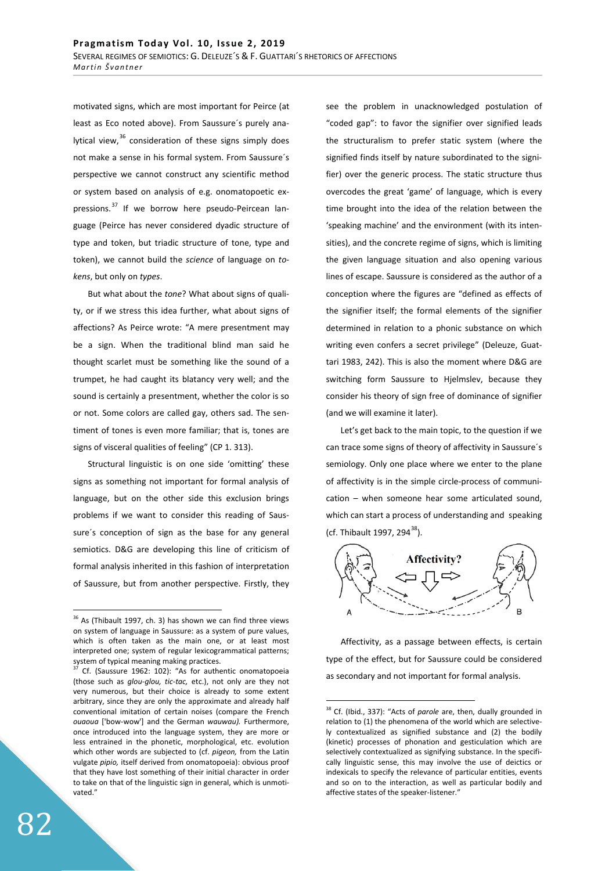motivated signs, which are most important for Peirce (at least as Eco noted above). From Saussure´s purely analytical view, $36$  consideration of these signs simply does not make a sense in his formal system. From Saussure´s perspective we cannot construct any scientific method or system based on analysis of e.g. onomatopoetic expressions.<sup>37</sup> If we borrow here pseudo-Peircean language (Peirce has never considered dyadic structure of type and token, but triadic structure of tone, type and token), we cannot build the *science* of language on *tokens*, but only on *types*.

But what about the *tone*? What about signs of quality, or if we stress this idea further, what about signs of affections? As Peirce wrote: "A mere presentment may be a sign. When the traditional blind man said he thought scarlet must be something like the sound of a trumpet, he had caught its blatancy very well; and the sound is certainly a presentment, whether the color is so or not. Some colors are called gay, others sad. The sentiment of tones is even more familiar; that is, tones are signs of visceral qualities of feeling" (CP 1. 313).

Structural linguistic is on one side 'omitting' these signs as something not important for formal analysis of language, but on the other side this exclusion brings problems if we want to consider this reading of Saussure´s conception of sign as the base for any general semiotics. D&G are developing this line of criticism of formal analysis inherited in this fashion of interpretation of Saussure, but from another perspective. Firstly, they see the problem in unacknowledged postulation of "coded gap": to favor the signifier over signified leads the structuralism to prefer static system (where the signified finds itself by nature subordinated to the signifier) over the generic process. The static structure thus overcodes the great 'game' of language, which is every time brought into the idea of the relation between the 'speaking machine' and the environment (with its intensities), and the concrete regime of signs, which is limiting the given language situation and also opening various lines of escape. Saussure is considered as the author of a conception where the figures are "defined as effects of the signifier itself; the formal elements of the signifier determined in relation to a phonic substance on which writing even confers a secret privilege" (Deleuze, Guattari 1983, 242). This is also the moment where D&G are switching form Saussure to Hjelmslev, because they consider his theory of sign free of dominance of signifier (and we will examine it later).

Let's get back to the main topic, to the question if we can trace some signs of theory of affectivity in Saussure´s semiology. Only one place where we enter to the plane of affectivity is in the simple circle-process of communication – when someone hear some articulated sound, which can start a process of understanding and speaking (cf. Thibault 1997, 294<sup>38</sup>).



Affectivity, as a passage between effects, is certain type of the effect, but for Saussure could be considered as secondary and not important for formal analysis.

 $36$  As (Thibault 1997, ch. 3) has shown we can find three views on system of language in Saussure: as a system of pure values, which is often taken as the main one, or at least most interpreted one; system of regular lexicogrammatical patterns; system of typical meaning making practices.

 $37$  Cf. (Saussure 1962: 102): "As for authentic onomatopoeia (those such as *glou-glou, tic-tac,* etc.), not only are they not very numerous, but their choice is already to some extent arbitrary, since they are only the approximate and already half conventional imitation of certain noises (compare the French *ouaoua* ['bow-wow'] and the German *wauwau).* Furthermore, once introduced into the language system, they are more or less entrained in the phonetic, morphological, etc. evolution which other words are subjected to (cf. *pigeon,* from the Latin vulgate *pipio,* itself derived from onomatopoeia): obvious proof that they have lost something of their initial character in order to take on that of the linguistic sign in general, which is unmotivated."

<sup>&</sup>lt;sup>38</sup> Cf. (Ibid., 337): "Acts of *parole* are, then, dually grounded in relation to (1) the phenomena of the world which are selectively contextualized as signified substance and (2) the bodily (kinetic) processes of phonation and gesticulation which are selectively contextualized as signifying substance. In the specifically linguistic sense, this may involve the use of deictics or indexicals to specify the relevance of particular entities, events and so on to the interaction, as well as particular bodily and affective states of the speaker-listener."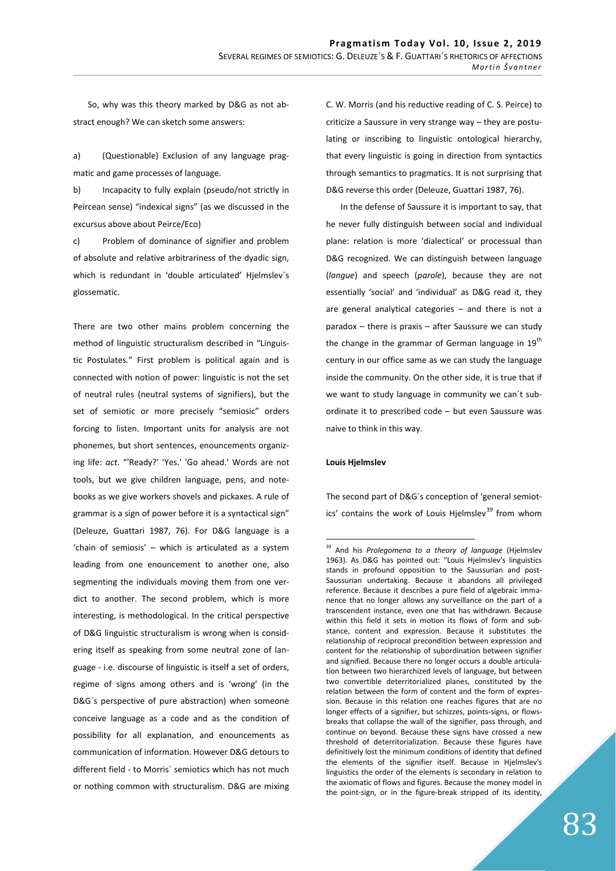So, why was this theory marked by D&G as not abstract enough? We can sketch some answers:

a) (Questionable) Exclusion of any language pragmatic and game processes of language.

b) Incapacity to fully explain (pseudo/not strictly in Peircean sense) "indexical signs" (as we discussed in the excursus above about Peirce/Eco)

c) Problem of dominance of signifier and problem of absolute and relative arbitrariness of the dyadic sign, which is redundant in 'double articulated' Hjelmslev´s glossematic.

There are two other mains problem concerning the method of linguistic structuralism described in "Linguistic Postulates*.*" First problem is political again and is connected with notion of power: linguistic is not the set of neutral rules (neutral systems of signifiers), but the set of semiotic or more precisely "semiosic" orders forcing to listen. Important units for analysis are not phonemes, but short sentences, enouncements organizing life: *act*. "'Ready?' 'Yes.' 'Go ahead.' Words are not tools, but we give children language, pens, and notebooks as we give workers shovels and pickaxes. A rule of grammar is a sign of power before it is a syntactical sign" (Deleuze, Guattari 1987, 76). For D&G language is a 'chain of semiosis' – which is articulated as a system leading from one enouncement to another one, also segmenting the individuals moving them from one verdict to another. The second problem, which is more interesting, is methodological. In the critical perspective of D&G linguistic structuralism is wrong when is considering itself as speaking from some neutral zone of language - i.e. discourse of linguistic is itself a set of orders, regime of signs among others and is 'wrong' (in the D&G´s perspective of pure abstraction) when someone conceive language as a code and as the condition of possibility for all explanation, and enouncements as communication of information. However D&G detours to different field - to Morris´ semiotics which has not much or nothing common with structuralism. D&G are mixing

C. W. Morris (and his reductive reading of C. S. Peirce) to criticize a Saussure in very strange way – they are postulating or inscribing to linguistic ontological hierarchy, that every linguistic is going in direction from syntactics through semantics to pragmatics. It is not surprising that D&G reverse this order (Deleuze, Guattari 1987, 76).

In the defense of Saussure it is important to say, that he never fully distinguish between social and individual plane: relation is more 'dialectical' or processual than D&G recognized. We can distinguish between language (*langue*) and speech (*parole*), because they are not essentially 'social' and 'individual' as D&G read it, they are general analytical categories – and there is not a paradox – there is praxis – after Saussure we can study the change in the grammar of German language in  $19<sup>th</sup>$ century in our office same as we can study the language inside the community. On the other side, it is true that if we want to study language in community we can´t subordinate it to prescribed code – but even Saussure was naive to think in this way.

#### **Louis Hielmslev**

The second part of D&G´s conception of 'general semiotics' contains the work of Louis Hjelmslev<sup>39</sup> from whom

<sup>39</sup> And his *Prolegomena to a theory of language* (Hjelmslev 1963). As D&G has pointed out: "Louis Hjelmslev's linguistics stands in profound opposition to the Saussurian and post-Saussurian undertaking. Because it abandons all privileged reference. Because it describes a pure field of algebraic immanence that no longer allows any surveillance on the part of a transcendent instance, even one that has withdrawn. Because within this field it sets in motion its flows of form and substance, content and expression. Because it substitutes the relationship of reciprocal precondition between expression and content for the relationship of subordination between signifier and signified. Because there no longer occurs a double articulation between two hierarchized levels of language, but between two convertible deterritorialized planes, constituted by the relation between the form of content and the form of expression. Because in this relation one reaches figures that are no longer effects of a signifier, but schizzes, points-signs, or flowsbreaks that collapse the wall of the signifier, pass through, and continue on beyond. Because these signs have crossed a new threshold of deterritorialization. Because these figures have definitively lost the minimum conditions of identity that defined the elements of the signifier itself. Because in Hjelmslev's linguistics the order of the elements is secondary in relation to the axiomatic of flows and figures. Because the money model in the point-sign, or in the figure-break stripped of its identity,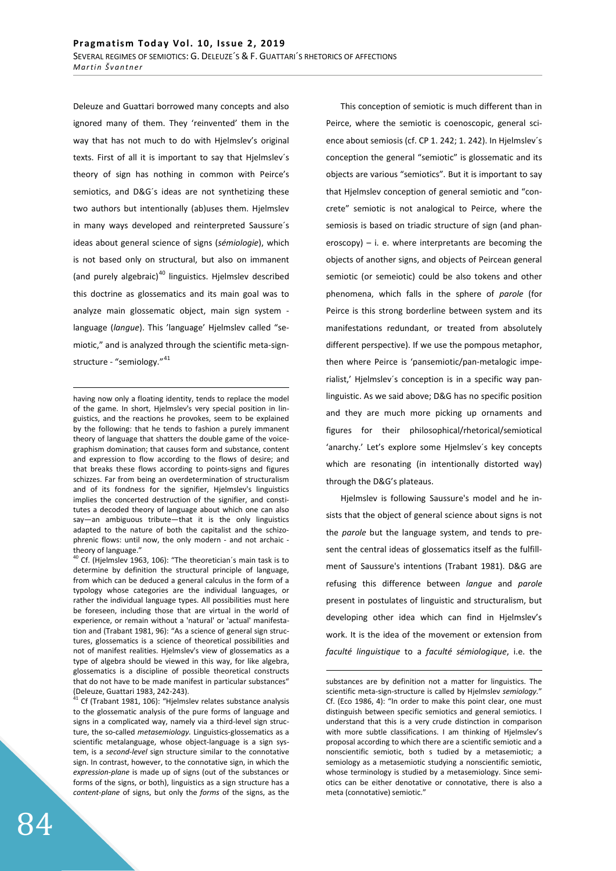Deleuze and Guattari borrowed many concepts and also ignored many of them. They 'reinvented' them in the way that has not much to do with Hjelmslev's original texts. First of all it is important to say that Hjelmslev´s theory of sign has nothing in common with Peirce's semiotics, and D&G´s ideas are not synthetizing these two authors but intentionally (ab)uses them. Hjelmslev in many ways developed and reinterpreted Saussure´s ideas about general science of signs (*sémiologie*), which is not based only on structural, but also on immanent (and purely algebraic) $40$  linguistics. Hjelmslev described this doctrine as glossematics and its main goal was to analyze main glossematic object, main sign system language (*langue*). This 'language' Hjelmslev called "semiotic," and is analyzed through the scientific meta-signstructure - "semiology." 41

having now only a floating identity, tends to replace the model of the game. In short, Hjelmslev's very special position in linguistics, and the reactions he provokes, seem to be explained by the following: that he tends to fashion a purely immanent theory of language that shatters the double game of the voicegraphism domination; that causes form and substance, content and expression to flow according to the flows of desire; and that breaks these flows according to points-signs and figures schizzes. Far from being an overdetermination of structuralism and of its fondness for the signifier, Hjelmslev's linguistics implies the concerted destruction of the signifier, and constitutes a decoded theory of language about which one can also say—an ambiguous tribute—that it is the only linguistics adapted to the nature of both the capitalist and the schizophrenic flows: until now, the only modern - and not archaic theory of language."

 $40$  Cf. (Hjelmslev 1963, 106): "The theoretician's main task is to determine by definition the structural principle of language, from which can be deduced a general calculus in the form of a typology whose categories are the individual languages, or rather the individual language types. All possibilities must here be foreseen, including those that are virtual in the world of experience, or remain without a 'natural' or 'actual' manifestation and (Trabant 1981, 96): "As a science of general sign structures, glossematics is a science of theoretical possibilities and not of manifest realities. Hjelmslev's view of glossematics as a type of algebra should be viewed in this way, for like algebra, glossematics is a discipline of possible theoretical constructs that do not have to be made manifest in particular substances" (Deleuze, Guattari 1983, 242-243).

41 Cf (Trabant 1981, 106): "Hjelmslev relates substance analysis to the glossematic analysis of the pure forms of language and signs in a complicated way, namely via a third-level sign structure, the so-called *metasemiology.* Linguistics-glossematics as a scientific metalanguage, whose object-language is a sign system, is a *second-level* sign structure similar to the connotative sign. In contrast, however, to the connotative sign, in which the *expression-plane* is made up of signs (out of the substances or forms of the signs, or both), linguistics as a sign structure has a *content-plane* of signs, but only the *forms* of the signs, as the

This conception of semiotic is much different than in Peirce, where the semiotic is coenoscopic, general science about semiosis (cf. CP 1. 242; 1. 242). In Hjelmslev´s conception the general "semiotic" is glossematic and its objects are various "semiotics". But it is important to say that Hjelmslev conception of general semiotic and "concrete" semiotic is not analogical to Peirce, where the semiosis is based on triadic structure of sign (and phaneroscopy) – i. e. where interpretants are becoming the objects of another signs, and objects of Peircean general semiotic (or semeiotic) could be also tokens and other phenomena, which falls in the sphere of *parole* (for Peirce is this strong borderline between system and its manifestations redundant, or treated from absolutely different perspective). If we use the pompous metaphor, then where Peirce is 'pansemiotic/pan-metalogic imperialist,' Hjelmslev´s conception is in a specific way panlinguistic. As we said above; D&G has no specific position and they are much more picking up ornaments and figures for their philosophical/rhetorical/semiotical 'anarchy.' Let's explore some Hjelmslev´s key concepts which are resonating (in intentionally distorted way) through the D&G's plateaus.

Hjelmslev is following Saussure's model and he insists that the object of general science about signs is not the *parole* but the language system, and tends to present the central ideas of glossematics itself as the fulfillment of Saussure's intentions (Trabant 1981). D&G are refusing this difference between *langue* and *parole* present in postulates of linguistic and structuralism, but developing other idea which can find in Hjelmslev's work. It is the idea of the movement or extension from *faculté linguistique* to a *faculté sémiologique*, i.e. the

substances are by definition not a matter for linguistics. The scientific meta-sign-structure is called by Hjelmslev *semiology.*" Cf. (Eco 1986, 4): "In order to make this point clear, one must distinguish between specific semiotics and general semiotics. I understand that this is a very crude distinction in comparison with more subtle classifications. I am thinking of Hjelmslev's proposal according to which there are a scientific semiotic and a nonscientific semiotic, both s tudied by a metasemiotic; a semiology as a metasemiotic studying a nonscientific semiotic, whose terminology is studied by a metasemiology. Since semiotics can be either denotative or connotative, there is also a meta (connotative) semiotic."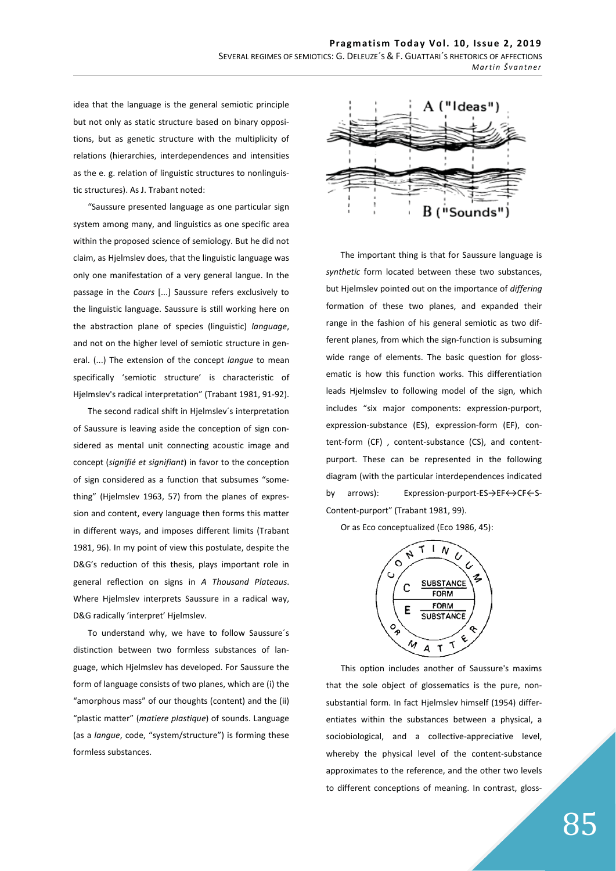idea that the language is the general semiotic principle but not only as static structure based on binary oppositions, but as genetic structure with the multiplicity of relations (hierarchies, interdependences and intensities as the e. g. relation of linguistic structures to nonlinguistic structures). As J. Trabant noted:

"Saussure presented language as one particular sign system among many, and linguistics as one specific area within the proposed science of semiology. But he did not claim, as Hjelmslev does, that the linguistic language was only one manifestation of a very general langue. In the passage in the *Cours* [...] Saussure refers exclusively to the linguistic language. Saussure is still working here on the abstraction plane of species (linguistic) *language*, and not on the higher level of semiotic structure in general. (...) The extension of the concept *langue* to mean specifically 'semiotic structure' is characteristic of Hjelmslev's radical interpretation" (Trabant 1981, 91-92).

The second radical shift in Hjelmslev´s interpretation of Saussure is leaving aside the conception of sign considered as mental unit connecting acoustic image and concept (*signifié et signifiant*) in favor to the conception of sign considered as a function that subsumes "something" (Hjelmslev 1963, 57) from the planes of expression and content, every language then forms this matter in different ways, and imposes different limits (Trabant 1981, 96). In my point of view this postulate, despite the D&G's reduction of this thesis, plays important role in general reflection on signs in *A Thousand Plateaus*. Where Hjelmslev interprets Saussure in a radical way, D&G radically 'interpret' Hjelmslev.

To understand why, we have to follow Saussure´s distinction between two formless substances of language, which Hjelmslev has developed. For Saussure the form of language consists of two planes, which are (i) the "amorphous mass" of our thoughts (content) and the (ii) "plastic matter" (*matiere plastique*) of sounds. Language (as a *langue*, code, "system/structure") is forming these formless substances.



The important thing is that for Saussure language is *synthetic* form located between these two substances, but Hjelmslev pointed out on the importance of *differing*  formation of these two planes, and expanded their range in the fashion of his general semiotic as two different planes, from which the sign-function is subsuming wide range of elements. The basic question for glossematic is how this function works. This differentiation leads Hjelmslev to following model of the sign, which includes "six major components: expression-purport, expression-substance (ES), expression-form (EF), content-form (CF) , content-substance (CS), and contentpurport. These can be represented in the following diagram (with the particular interdependences indicated by arrows): Expression-purport-ES->EF $\leftrightarrow$ CF $\leftarrow$ S-Content-purport" (Trabant 1981, 99).

Or as Eco conceptualized (Eco 1986, 45):



This option includes another of Saussure's maxims that the sole object of glossematics is the pure, nonsubstantial form. In fact Hjelmslev himself (1954) differentiates within the substances between a physical, a sociobiological, and a collective-appreciative level, whereby the physical level of the content-substance approximates to the reference, and the other two levels to different conceptions of meaning. In contrast, gloss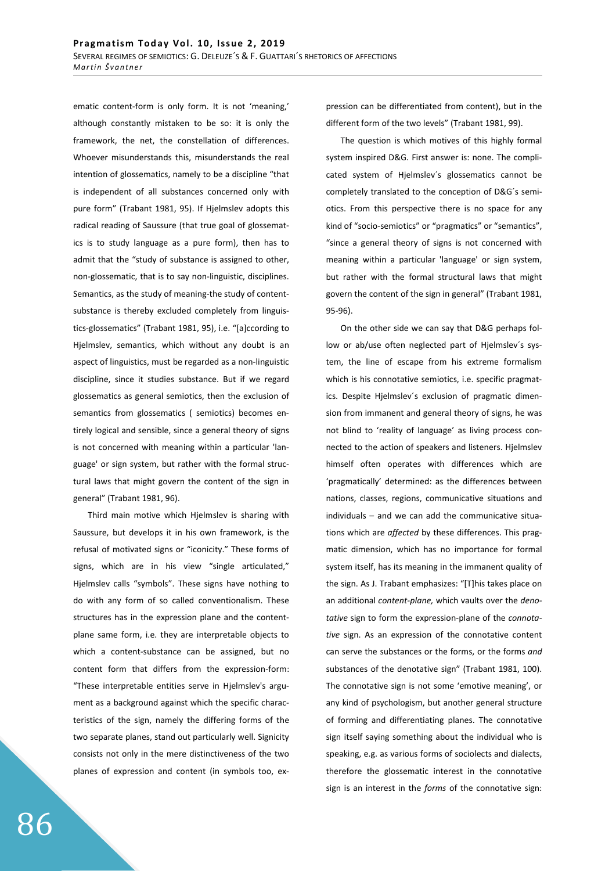ematic content-form is only form. It is not 'meaning,' although constantly mistaken to be so: it is only the framework, the net, the constellation of differences. Whoever misunderstands this, misunderstands the real intention of glossematics, namely to be a discipline "that is independent of all substances concerned only with pure form" (Trabant 1981, 95). If Hjelmslev adopts this radical reading of Saussure (that true goal of glossematics is to study language as a pure form), then has to admit that the "study of substance is assigned to other, non-glossematic, that is to say non-linguistic, disciplines. Semantics, as the study of meaning-the study of contentsubstance is thereby excluded completely from linguistics-glossematics" (Trabant 1981, 95), i.e. "[a]ccording to Hjelmslev, semantics, which without any doubt is an aspect of linguistics, must be regarded as a non-linguistic discipline, since it studies substance. But if we regard glossematics as general semiotics, then the exclusion of semantics from glossematics ( semiotics) becomes entirely logical and sensible, since a general theory of signs is not concerned with meaning within a particular 'language' or sign system, but rather with the formal structural laws that might govern the content of the sign in general" (Trabant 1981, 96).

Third main motive which Hjelmslev is sharing with Saussure, but develops it in his own framework, is the refusal of motivated signs or "iconicity." These forms of signs, which are in his view "single articulated," Hjelmslev calls "symbols". These signs have nothing to do with any form of so called conventionalism. These structures has in the expression plane and the contentplane same form, i.e. they are interpretable objects to which a content-substance can be assigned, but no content form that differs from the expression-form: "These interpretable entities serve in Hjelmslev's argument as a background against which the specific characteristics of the sign, namely the differing forms of the two separate planes, stand out particularly well. Signicity consists not only in the mere distinctiveness of the two planes of expression and content (in symbols too, expression can be differentiated from content), but in the different form of the two levels" (Trabant 1981, 99).

The question is which motives of this highly formal system inspired D&G. First answer is: none. The complicated system of Hjelmslev´s glossematics cannot be completely translated to the conception of D&G´s semiotics. From this perspective there is no space for any kind of "socio-semiotics" or "pragmatics" or "semantics", "since a general theory of signs is not concerned with meaning within a particular 'language' or sign system, but rather with the formal structural laws that might govern the content of the sign in general" (Trabant 1981, 95-96).

On the other side we can say that D&G perhaps follow or ab/use often neglected part of Hjelmslev´s system, the line of escape from his extreme formalism which is his connotative semiotics, i.e. specific pragmatics. Despite Hjelmslev´s exclusion of pragmatic dimension from immanent and general theory of signs, he was not blind to 'reality of language' as living process connected to the action of speakers and listeners. Hjelmslev himself often operates with differences which are 'pragmatically' determined: as the differences between nations, classes, regions, communicative situations and individuals – and we can add the communicative situations which are *affected* by these differences. This pragmatic dimension, which has no importance for formal system itself, has its meaning in the immanent quality of the sign. As J. Trabant emphasizes: "[T]his takes place on an additional *content-plane,* which vaults over the *denotative* sign to form the expression-plane of the *connotative* sign. As an expression of the connotative content can serve the substances or the forms, or the forms *and*  substances of the denotative sign" (Trabant 1981, 100). The connotative sign is not some 'emotive meaning', or any kind of psychologism, but another general structure of forming and differentiating planes. The connotative sign itself saying something about the individual who is speaking, e.g. as various forms of sociolects and dialects, therefore the glossematic interest in the connotative sign is an interest in the *forms* of the connotative sign: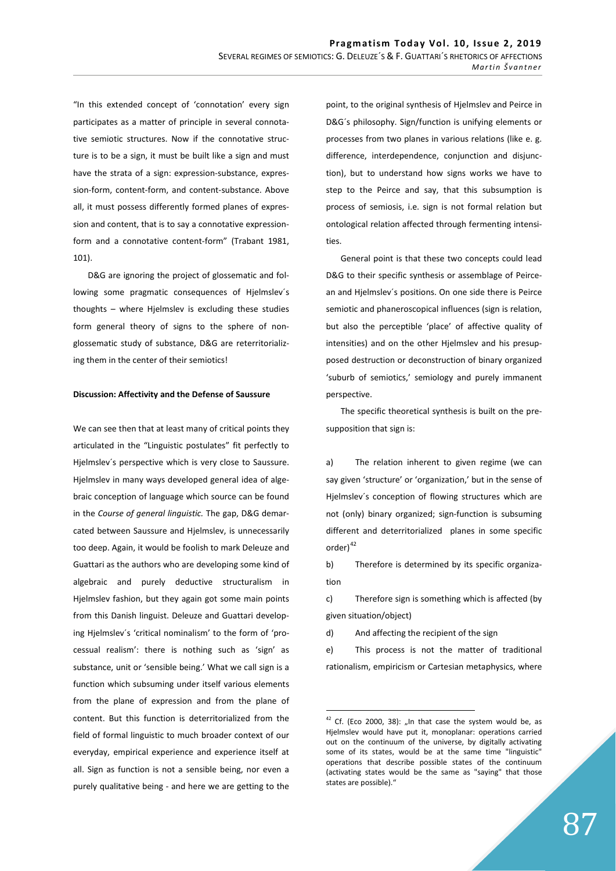"In this extended concept of 'connotation' every sign participates as a matter of principle in several connotative semiotic structures. Now if the connotative structure is to be a sign, it must be built like a sign and must have the strata of a sign: expression-substance, expression-form, content-form, and content-substance. Above all, it must possess differently formed planes of expression and content, that is to say a connotative expressionform and a connotative content-form" (Trabant 1981, 101).

D&G are ignoring the project of glossematic and following some pragmatic consequences of Hjelmslev´s thoughts – where Hjelmslev is excluding these studies form general theory of signs to the sphere of nonglossematic study of substance, D&G are reterritorializing them in the center of their semiotics!

#### **Discussion: Affectivity and the Defense of Saussure**

We can see then that at least many of critical points they articulated in the "Linguistic postulates" fit perfectly to Hjelmslev´s perspective which is very close to Saussure. Hjelmslev in many ways developed general idea of algebraic conception of language which source can be found in the *Course of general linguistic.* The gap, D&G demarcated between Saussure and Hjelmslev, is unnecessarily too deep. Again, it would be foolish to mark Deleuze and Guattari as the authors who are developing some kind of algebraic and purely deductive structuralism in Hjelmslev fashion, but they again got some main points from this Danish linguist. Deleuze and Guattari developing Hjelmslev´s 'critical nominalism' to the form of 'processual realism': there is nothing such as 'sign' as substance, unit or 'sensible being.' What we call sign is a function which subsuming under itself various elements from the plane of expression and from the plane of content. But this function is deterritorialized from the field of formal linguistic to much broader context of our everyday, empirical experience and experience itself at all. Sign as function is not a sensible being, nor even a purely qualitative being - and here we are getting to the

point, to the original synthesis of Hjelmslev and Peirce in D&G´s philosophy. Sign/function is unifying elements or processes from two planes in various relations (like e. g. difference, interdependence, conjunction and disjunction), but to understand how signs works we have to step to the Peirce and say, that this subsumption is process of semiosis, i.e. sign is not formal relation but ontological relation affected through fermenting intensities.

General point is that these two concepts could lead D&G to their specific synthesis or assemblage of Peircean and Hjelmslev´s positions. On one side there is Peirce semiotic and phaneroscopical influences (sign is relation, but also the perceptible 'place' of affective quality of intensities) and on the other Hjelmslev and his presupposed destruction or deconstruction of binary organized 'suburb of semiotics,' semiology and purely immanent perspective.

The specific theoretical synthesis is built on the presupposition that sign is:

a) The relation inherent to given regime (we can say given 'structure' or 'organization,' but in the sense of Hjelmslev´s conception of flowing structures which are not (only) binary organized; sign-function is subsuming different and deterritorialized planes in some specific order)<sup>42</sup>

b) Therefore is determined by its specific organization

c) Therefore sign is something which is affected (by given situation/object)

d) And affecting the recipient of the sign

e) This process is not the matter of traditional rationalism, empiricism or Cartesian metaphysics, where

 $42$  Cf. (Eco 2000, 38): "In that case the system would be, as Hjelmslev would have put it, monoplanar: operations carried out on the continuum of the universe, by digitally activating some of its states, would be at the same time "linguistic" operations that describe possible states of the continuum (activating states would be the same as "saying" that those states are possible)."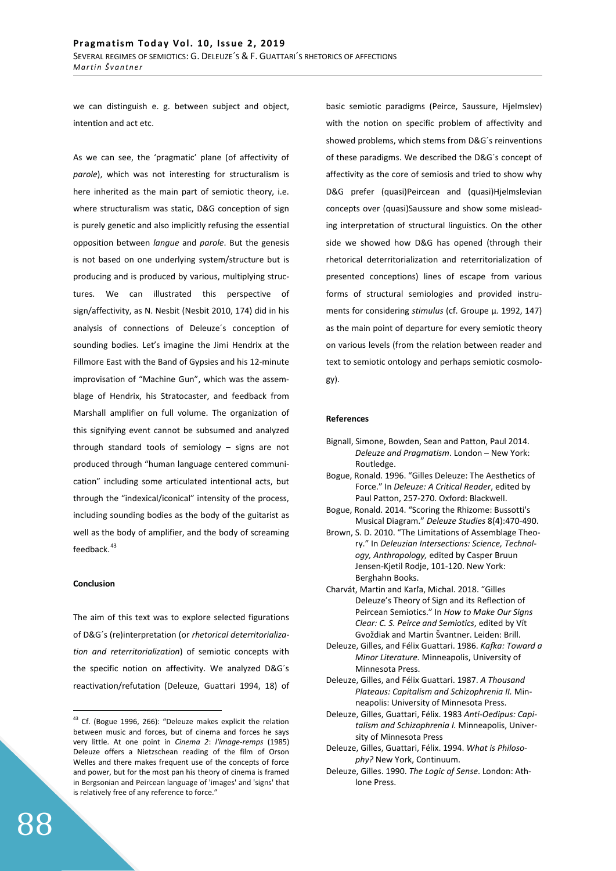we can distinguish e. g. between subject and object, intention and act etc.

As we can see, the 'pragmatic' plane (of affectivity of *parole*), which was not interesting for structuralism is here inherited as the main part of semiotic theory, i.e. where structuralism was static, D&G conception of sign is purely genetic and also implicitly refusing the essential opposition between *langue* and *parole*. But the genesis is not based on one underlying system/structure but is producing and is produced by various, multiplying structures. We can illustrated this perspective of sign/affectivity, as N. Nesbit (Nesbit 2010, 174) did in his analysis of connections of Deleuze´s conception of sounding bodies. Let's imagine the Jimi Hendrix at the Fillmore East with the Band of Gypsies and his 12-minute improvisation of "Machine Gun", which was the assemblage of Hendrix, his Stratocaster, and feedback from Marshall amplifier on full volume. The organization of this signifying event cannot be subsumed and analyzed through standard tools of semiology – signs are not produced through "human language centered communication" including some articulated intentional acts, but through the "indexical/iconical" intensity of the process, including sounding bodies as the body of the guitarist as well as the body of amplifier, and the body of screaming feedback.<sup>43</sup>

## **Conclusion**

The aim of this text was to explore selected figurations of D&G´s (re)interpretation (or *rhetorical deterritorialization and reterritorialization*) of semiotic concepts with the specific notion on affectivity. We analyzed D&G´s reactivation/refutation (Deleuze, Guattari 1994, 18) of

basic semiotic paradigms (Peirce, Saussure, Hjelmslev) with the notion on specific problem of affectivity and showed problems, which stems from D&G´s reinventions of these paradigms. We described the D&G´s concept of affectivity as the core of semiosis and tried to show why D&G prefer (quasi)Peircean and (quasi)Hjelmslevian concepts over (quasi)Saussure and show some misleading interpretation of structural linguistics. On the other side we showed how D&G has opened (through their rhetorical deterritorialization and reterritorialization of presented conceptions) lines of escape from various forms of structural semiologies and provided instruments for considering *stimulus* (cf. Groupe μ. 1992, 147) as the main point of departure for every semiotic theory on various levels (from the relation between reader and text to semiotic ontology and perhaps semiotic cosmology).

## **References**

- Bignall, Simone, Bowden, Sean and Patton, Paul 2014. *Deleuze and Pragmatism*. London – New York: Routledge.
- Bogue, Ronald. 1996. "Gilles Deleuze: The Aesthetics of Force." In *Deleuze: A Critical Reader*, edited by Paul Patton, 257-270. Oxford: Blackwell.
- Bogue, Ronald. 2014. "Scoring the Rhizome: Bussotti's Musical Diagram." *Deleuze Studies* 8(4):470-490.
- Brown, S. D. 2010. "The Limitations of Assemblage Theory." In *Deleuzian Intersections: Science, Technology, Anthropology,* edited by Casper Bruun Jensen-Kjetil Rodje, 101-120. New York: Berghahn Books.
- Charvát, Martin and Karľa, Michal. 2018. "Gilles Deleuze's Theory of Sign and its Reflection of Peircean Semiotics." In *How to Make Our Signs Clear: C. S. Peirce and Semiotics*, edited by Vít Gvoždiak and Martin Švantner. Leiden: Brill.
- Deleuze, Gilles, and Félix Guattari. 1986. *Kafka: Toward a Minor Literature.* Minneapolis, University of Minnesota Press.
- Deleuze, Gilles, and Félix Guattari. 1987. *A Thousand Plateaus: Capitalism and Schizophrenia II.* Minneapolis: University of Minnesota Press.
- Deleuze, Gilles, Guattari, Félix. 1983 *Anti-Oedipus: Capitalism and Schizophrenia I.* Minneapolis, University of Minnesota Press
- Deleuze, Gilles, Guattari, Félix. 1994. *What is Philosophy?* New York, Continuum.
- Deleuze, Gilles. 1990. *The Logic of Sense*. London: Athlone Press.

<sup>&</sup>lt;sup>43</sup> Cf. (Bogue 1996, 266): "Deleuze makes explicit the relation between music and forces, but of cinema and forces he says very little. At one point in *Cinema 2*: *l'image-remps* (1985) Deleuze offers a Nietzschean reading of the film of Orson Welles and there makes frequent use of the concepts of force and power, but for the most pan his theory of cinema is framed in Bergsonian and Peircean language of 'images' and 'signs' that is relatively free of any reference to force."